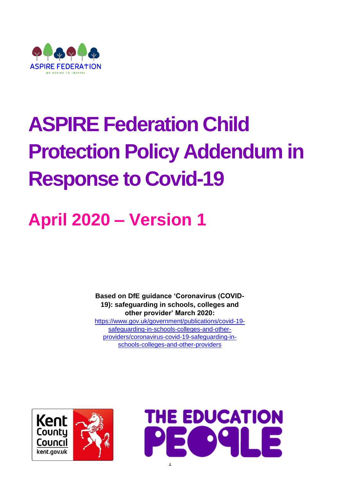

# **ASPIRE Federation Child Protection Policy Addendum in Response to Covid-19**

# **April 2020 – Version 1**

**Based on DfE guidance 'Coronavirus (COVID-19): safeguarding in schools, colleges and other provider' March 2020:**  [https://www.gov.uk/government/publications/covid-19](https://www.gov.uk/government/publications/covid-19-safeguarding-in-schools-colleges-and-other-providers/coronavirus-covid-19-safeguarding-in-schools-colleges-and-other-providers) [safeguarding-in-schools-colleges-and-other](https://www.gov.uk/government/publications/covid-19-safeguarding-in-schools-colleges-and-other-providers/coronavirus-covid-19-safeguarding-in-schools-colleges-and-other-providers)[providers/coronavirus-covid-19-safeguarding-in](https://www.gov.uk/government/publications/covid-19-safeguarding-in-schools-colleges-and-other-providers/coronavirus-covid-19-safeguarding-in-schools-colleges-and-other-providers)[schools-colleges-and-other-providers](https://www.gov.uk/government/publications/covid-19-safeguarding-in-schools-colleges-and-other-providers/coronavirus-covid-19-safeguarding-in-schools-colleges-and-other-providers)



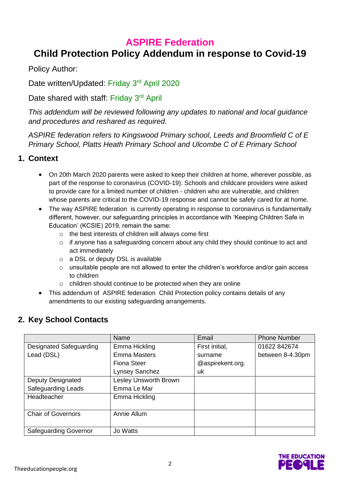# **ASPIRE Federation**

# **Child Protection Policy Addendum in response to Covid-19**

Policy Author:

Date written/Updated: Friday 3<sup>rd</sup> April 2020

Date shared with staff: Friday 3<sup>rd</sup> April

*This addendum will be reviewed following any updates to national and local guidance and procedures and reshared as required.* 

*ASPIRE federation refers to Kingswood Primary school, Leeds and Broomfield C of E Primary School, Platts Heath Primary School and Ulcombe C of E Primary School* 

# **1. Context**

- On 20th March 2020 parents were asked to keep their children at home, wherever possible, as part of the response to coronavirus (COVID-19). Schools and childcare providers were asked to provide care for a limited number of children - children who are vulnerable, and children whose parents are critical to the COVID-19 response and cannot be safely cared for at home.
- The way ASPIRE federation is currently operating in response to coronavirus is fundamentally different, however, our safeguarding principles in accordance with 'Keeping Children Safe in Education' (KCSIE) 2019, remain the same:
	- o the best interests of children will always come first
	- o if anyone has a safeguarding concern about any child they should continue to act and act immediately
	- o a DSL or deputy DSL is available
	- o unsuitable people are not allowed to enter the children's workforce and/or gain access to children
	- o children should continue to be protected when they are online
- This addendum of ASPIRE federation Child Protection policy contains details of any amendments to our existing safeguarding arrangements.

# **2. Key School Contacts**

|                              | Name                  | Email            | <b>Phone Number</b> |
|------------------------------|-----------------------|------------------|---------------------|
| Designated Safeguarding      | Emma Hickling         | First initial,   | 01622 842674        |
| Lead (DSL)                   | <b>Emma Masters</b>   | surname          | between 8-4.30pm    |
|                              | Fiona Steer           | @aspirekent.org. |                     |
|                              | Lynsey Sanchez        | uk               |                     |
| Deputy Designated            | Lesley Unsworth Brown |                  |                     |
| <b>Safeguarding Leads</b>    | Emma Le Mar           |                  |                     |
| Headteacher                  | Emma Hickling         |                  |                     |
|                              |                       |                  |                     |
| <b>Chair of Governors</b>    | Annie Allum           |                  |                     |
|                              |                       |                  |                     |
| <b>Safeguarding Governor</b> | Jo Watts              |                  |                     |

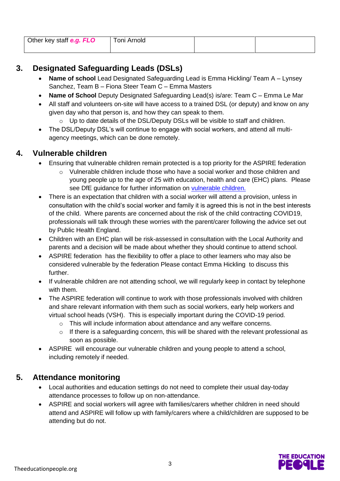| Other key staff e.g. FLO | Toni Arnold |  |
|--------------------------|-------------|--|
|                          |             |  |

# **3. Designated Safeguarding Leads (DSLs)**

- **Name of school** Lead Designated Safeguarding Lead is Emma Hickling/ Team A Lynsey Sanchez, Team B – Fiona Steer Team C – Emma Masters
- **Name of School** Deputy Designated Safeguarding Lead(s) is/are: Team C Emma Le Mar
- All staff and volunteers on-site will have access to a trained DSL (or deputy) and know on any given day who that person is, and how they can speak to them.
	- o Up to date details of the DSL/Deputy DSLs will be visible to staff and children.
- The DSL/Deputy DSL's will continue to engage with social workers, and attend all multiagency meetings, which can be done remotely.

# **4. Vulnerable children**

- Ensuring that vulnerable children remain protected is a top priority for the ASPIRE federation
	- o Vulnerable children include those who have a social worker and those children and young people up to the age of 25 with education, health and care (EHC) plans. Please see DfE guidance for further information on [vulnerable children.](https://www.gov.uk/government/publications/coronavirus-covid-19-guidance-on-vulnerable-children-and-young-people/coronavirus-covid-19-guidance-on-vulnerable-children-and-young-people)
- There is an expectation that children with a social worker will attend a provision, unless in consultation with the child's social worker and family it is agreed this is not in the best interests of the child. Where parents are concerned about the risk of the child contracting COVID19, professionals will talk through these worries with the parent/carer following the advice set out by Public Health England.
- Children with an EHC plan will be risk-assessed in consultation with the Local Authority and parents and a decision will be made about whether they should continue to attend school.
- ASPIRE federation has the flexibility to offer a place to other learners who may also be considered vulnerable by the federation Please contact Emma Hickling to discuss this further.
- If vulnerable children are not attending school, we will regularly keep in contact by telephone with them.
- The ASPIRE federation will continue to work with those professionals involved with children and share relevant information with them such as social workers, early help workers and virtual school heads (VSH). This is especially important during the COVID-19 period.
	- $\circ$  This will include information about attendance and any welfare concerns.
	- o If there is a safeguarding concern, this will be shared with the relevant professional as soon as possible.
- ASPIRE will encourage our vulnerable children and young people to attend a school, including remotely if needed.

# **5. Attendance monitoring**

- Local authorities and education settings do not need to complete their usual day-today attendance processes to follow up on non-attendance.
- ASPIRE and social workers will agree with families/carers whether children in need should attend and ASPIRE will follow up with family/carers where a child/children are supposed to be attending but do not.

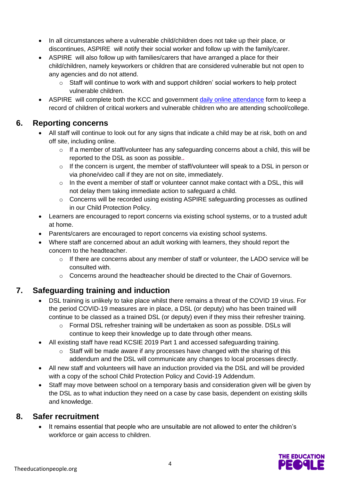- In all circumstances where a vulnerable child/children does not take up their place, or discontinues, ASPIRE will notify their social worker and follow up with the family/carer.
- ASPIRE will also follow up with families/carers that have arranged a place for their child/children, namely keyworkers or children that are considered vulnerable but not open to any agencies and do not attend.
	- o Staff will continue to work with and support children' social workers to help protect vulnerable children.
- ASPIRE will complete both the KCC and government [daily online attendance](file:///C:/Users/KandoA02/OneDrive%20-%20The%20Education%20People/Desktop/daily%20online%20attendance%20form.htm) form to keep a record of children of critical workers and vulnerable children who are attending school/college.

#### **6. Reporting concerns**

- All staff will continue to look out for any signs that indicate a child may be at risk, both on and off site, including online.
	- o If a member of staff/volunteer has any safeguarding concerns about a child, this will be reported to the DSL as soon as possible.*.*
	- o If the concern is urgent, the member of staff/volunteer will speak to a DSL in person or via phone/video call if they are not on site, immediately.
	- $\circ$  In the event a member of staff or volunteer cannot make contact with a DSL, this will not delay them taking immediate action to safeguard a child.
	- o Concerns will be recorded using existing ASPIRE safeguarding processes as outlined in our Child Protection Policy.
- Learners are encouraged to report concerns via existing school systems, or to a trusted adult at home.
- Parents/carers are encouraged to report concerns via existing school systems.
- Where staff are concerned about an adult working with learners, they should report the concern to the headteacher.
	- o If there are concerns about any member of staff or volunteer, the LADO service will be consulted with.
	- $\circ$  Concerns around the headteacher should be directed to the Chair of Governors.

# **7. Safeguarding training and induction**

- DSL training is unlikely to take place whilst there remains a threat of the COVID 19 virus. For the period COVID-19 measures are in place, a DSL (or deputy) who has been trained will continue to be classed as a trained DSL (or deputy) even if they miss their refresher training.
	- $\circ$  Formal DSL refresher training will be undertaken as soon as possible. DSLs will continue to keep their knowledge up to date through other means.
- All existing staff have read KCSIE 2019 Part 1 and accessed safeguarding training.
	- Staff will be made aware if any processes have changed with the sharing of this addendum and the DSL will communicate any changes to local processes directly.
- All new staff and volunteers will have an induction provided via the DSL and will be provided with a copy of the school Child Protection Policy and Covid-19 Addendum.
- Staff may move between school on a temporary basis and consideration given will be given by the DSL as to what induction they need on a case by case basis, dependent on existing skills and knowledge.

#### **8. Safer recruitment**

• It remains essential that people who are unsuitable are not allowed to enter the children's workforce or gain access to children.

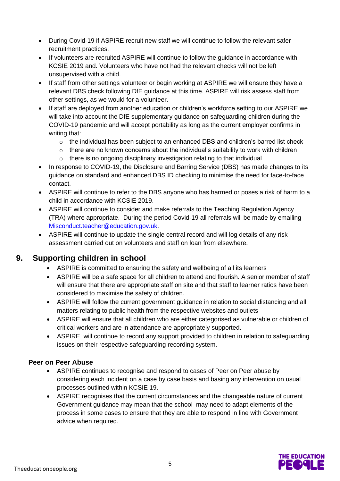- During Covid-19 if ASPIRE recruit new staff we will continue to follow the relevant safer recruitment practices.
- If volunteers are recruited ASPIRE will continue to follow the guidance in accordance with KCSIE 2019 and. Volunteers who have not had the relevant checks will not be left unsupervised with a child.
- If staff from other settings volunteer or begin working at ASPIRE we will ensure they have a relevant DBS check following DfE guidance at this time. ASPIRE will risk assess staff from other settings, as we would for a volunteer.
- If staff are deployed from another education or children's workforce setting to our ASPIRE we will take into account the DfE supplementary guidance on safeguarding children during the COVID-19 pandemic and will accept portability as long as the current employer confirms in writing that:
	- o the individual has been subject to an enhanced DBS and children's barred list check
	- $\circ$  there are no known concerns about the individual's suitability to work with children
	- o there is no ongoing disciplinary investigation relating to that individual
- In response to COVID-19, the Disclosure and Barring Service (DBS) has made changes to its guidance on standard and enhanced DBS ID checking to minimise the need for face-to-face contact.
- ASPIRE will continue to refer to the DBS anyone who has harmed or poses a risk of harm to a child in accordance with KCSIE 2019.
- ASPIRE will continue to consider and make referrals to the Teaching Regulation Agency (TRA) where appropriate. During the period Covid-19 all referrals will be made by emailing [Misconduct.teacher@education.gov.uk.](mailto:Misconduct.teacher@education.gov.uk)
- ASPIRE will continue to update the single central record and will log details of any risk assessment carried out on volunteers and staff on loan from elsewhere.

# **9. Supporting children in school**

- ASPIRE is committed to ensuring the safety and wellbeing of all its learners
- ASPIRE will be a safe space for all children to attend and flourish. A senior member of staff will ensure that there are appropriate staff on site and that staff to learner ratios have been considered to maximise the safety of children.
- ASPIRE will follow the current government guidance in relation to social distancing and all matters relating to public health from the respective websites and outlets
- ASPIRE will ensure that all children who are either categorised as vulnerable or children of critical workers and are in attendance are appropriately supported.
- ASPIRE will continue to record any support provided to children in relation to safeguarding issues on their respective safeguarding recording system.

#### **Peer on Peer Abuse**

- ASPIRE continues to recognise and respond to cases of Peer on Peer abuse by considering each incident on a case by case basis and basing any intervention on usual processes outlined within KCSIE 19.
- ASPIRE recognises that the current circumstances and the changeable nature of current Government guidance may mean that the school may need to adapt elements of the process in some cases to ensure that they are able to respond in line with Government advice when required.

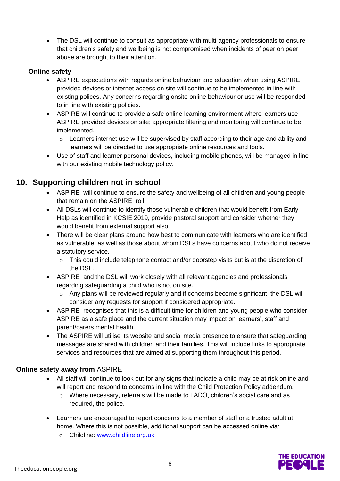• The DSL will continue to consult as appropriate with multi-agency professionals to ensure that children's safety and wellbeing is not compromised when incidents of peer on peer abuse are brought to their attention.

#### **Online safety**

- ASPIRE expectations with regards online behaviour and education when using ASPIRE provided devices or internet access on site will continue to be implemented in line with existing polices. Any concerns regarding onsite online behaviour or use will be responded to in line with existing policies.
- ASPIRE will continue to provide a safe online learning environment where learners use ASPIRE provided devices on site; appropriate filtering and monitoring will continue to be implemented.
	- $\circ$  Learners internet use will be supervised by staff according to their age and ability and learners will be directed to use appropriate online resources and tools.
- Use of staff and learner personal devices, including mobile phones, will be managed in line with our existing mobile technology policy.

#### **10. Supporting children not in school**

- ASPIRE will continue to ensure the safety and wellbeing of all children and young people that remain on the ASPIRE roll
- All DSLs will continue to identify those vulnerable children that would benefit from Early Help as identified in KCSIE 2019, provide pastoral support and consider whether they would benefit from external support also.
- There will be clear plans around how best to communicate with learners who are identified as vulnerable, as well as those about whom DSLs have concerns about who do not receive a statutory service.
	- $\circ$  This could include telephone contact and/or doorstep visits but is at the discretion of the DSL.
- ASPIRE and the DSL will work closely with all relevant agencies and professionals regarding safeguarding a child who is not on site.
	- Any plans will be reviewed regularly and if concerns become significant, the DSL will consider any requests for support if considered appropriate.
- ASPIRE recognises that this is a difficult time for children and young people who consider ASPIRE as a safe place and the current situation may impact on learners', staff and parent/carers mental health.
- The ASPIRE will utilise its website and social media presence to ensure that safeguarding messages are shared with children and their families. This will include links to appropriate services and resources that are aimed at supporting them throughout this period.

#### **Online safety away from** ASPIRE

- All staff will continue to look out for any signs that indicate a child may be at risk online and will report and respond to concerns in line with the Child Protection Policy addendum.
	- o Where necessary, referrals will be made to LADO, children's social care and as required, the police.
- Learners are encouraged to report concerns to a member of staff or a trusted adult at home. Where this is not possible, additional support can be accessed online via:
	- Childline: [www.childline.org.uk](http://www.childline.org.uk/)

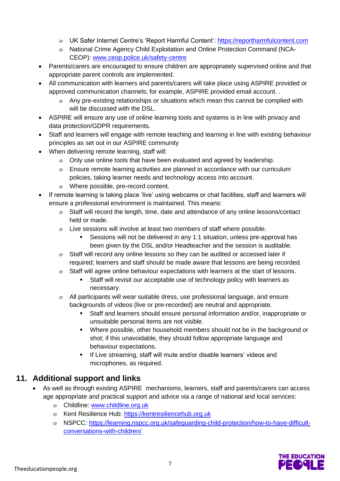- UK Safer Internet Centre's 'Report Harmful Content': [https://reportharmfulcontent.com](https://reportharmfulcontent.com/)
- National Crime Agency Child Exploitation and Online Protection Command (NCA-CEOP): [www.ceop.police.uk/safety-centre](https://www.ceop.police.uk/safety-centre/)
- Parents/carers are encouraged to ensure children are appropriately supervised online and that appropriate parent controls are implemented.
- All communication with learners and parents/carers will take place using ASPIRE provided or approved communication channels; for example, ASPIRE provided email account. .
	- Any pre-existing relationships or situations which mean this cannot be complied with will be discussed with the DSL.
- ASPIRE will ensure any use of online learning tools and systems is in line with privacy and data protection/GDPR requirements.
- Staff and learners will engage with remote teaching and learning in line with existing behaviour principles as set out in our ASPIRE community
- When delivering remote learning, staff will:
	- Only use online tools that have been evaluated and agreed by leadership.
	- Ensure remote learning activities are planned in accordance with our curriculum policies, taking learner needs and technology access into account.
	- Where possible, pre-record content.
- If remote learning is taking place 'live' using webcams or chat facilities, staff and learners will ensure a professional environment is maintained. This means:
	- Staff will record the length, time, date and attendance of any online lessons/contact held or made.
	- Live sessions will involve at least two members of staff where possible.
		- Sessions will not be delivered in any 1:1 situation, unless pre-approval has been given by the DSL and/or Headteacher and the session is auditable.
	- Staff will record any online lessons so they can be audited or accessed later if required; learners and staff should be made aware that lessons are being recorded.
	- Staff will agree online behaviour expectations with learners at the start of lessons.
		- Staff will revisit our acceptable use of technology policy with learners as necessary.
	- All participants will wear suitable dress, use professional language, and ensure backgrounds of videos (live or pre-recorded) are neutral and appropriate.
		- Staff and learners should ensure personal information and/or, inappropriate or unsuitable personal items are not visible.
		- Where possible, other household members should not be in the background or shot; if this unavoidable, they should follow appropriate language and behaviour expectations.
		- **EXECT** If Live streaming, staff will mute and/or disable learners' videos and microphones, as required.

#### **11. Additional support and links**

- As well as through existing ASPIRE mechanisms, learners, staff and parents/carers can access age appropriate and practical support and advice via a range of national and local services:
	- Childline: [www.childline.org.uk](https://www.childline.org.uk/)
	- o Kent Resilience Hub: [https://kentresiliencehub.org.uk](https://kentresiliencehub.org.uk/)
	- NSPCC: [https://learning.nspcc.org.uk/safeguarding-child-protection/how-to-have-difficult](https://learning.nspcc.org.uk/safeguarding-child-protection/how-to-have-difficult-conversations-with-children/)[conversations-with-children/](https://learning.nspcc.org.uk/safeguarding-child-protection/how-to-have-difficult-conversations-with-children/)

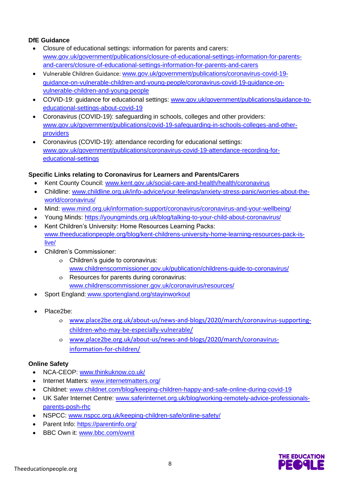#### **DfE Guidance**

- Closure of educational settings: information for parents and carers: [www.gov.uk/government/publications/closure-of-educational-settings-information-for-parents](https://www.gov.uk/government/publications/closure-of-educational-settings-information-for-parents-and-carers/closure-of-educational-settings-information-for-parents-and-carers)[and-carers/closure-of-educational-settings-information-for-parents-and-carers](https://www.gov.uk/government/publications/closure-of-educational-settings-information-for-parents-and-carers/closure-of-educational-settings-information-for-parents-and-carers)
- Vulnerable Children Guidance: [www.gov.uk/government/publications/coronavirus-covid-19](https://www.gov.uk/government/publications/coronavirus-covid-19-guidance-on-vulnerable-children-and-young-people/coronavirus-covid-19-guidance-on-vulnerable-children-and-young-people) [guidance-on-vulnerable-children-and-young-people/coronavirus-covid-19-guidance-on](https://www.gov.uk/government/publications/coronavirus-covid-19-guidance-on-vulnerable-children-and-young-people/coronavirus-covid-19-guidance-on-vulnerable-children-and-young-people)[vulnerable-children-and-young-people](https://www.gov.uk/government/publications/coronavirus-covid-19-guidance-on-vulnerable-children-and-young-people/coronavirus-covid-19-guidance-on-vulnerable-children-and-young-people)
- COVID-19: guidance for educational settings: [www.gov.uk/government/publications/guidance-to](http://www.gov.uk/government/publications/guidance-to-educational-settings-about-covid-19)[educational-settings-about-covid-19](http://www.gov.uk/government/publications/guidance-to-educational-settings-about-covid-19)
- Coronavirus (COVID-19): safeguarding in schools, colleges and other providers: [www.gov.uk/government/publications/covid-19-safeguarding-in-schools-colleges-and-other](http://www.gov.uk/government/publications/covid-19-safeguarding-in-schools-colleges-and-other-providers)[providers](http://www.gov.uk/government/publications/covid-19-safeguarding-in-schools-colleges-and-other-providers)
- Coronavirus (COVID-19): attendance recording for educational settings: [www.gov.uk/government/publications/coronavirus-covid-19-attendance-recording-for](http://www.gov.uk/government/publications/coronavirus-covid-19-attendance-recording-for-educational-settings)[educational-settings](http://www.gov.uk/government/publications/coronavirus-covid-19-attendance-recording-for-educational-settings)

#### **Specific Links relating to Coronavirus for Learners and Parents/Carers**

- Kent County Council: [www.kent.gov.uk/social-care-and-health/health/coronavirus](http://www.kent.gov.uk/social-care-and-health/health/coronavirus)
- Childline: [www.childline.org.uk/info-advice/your-feelings/anxiety-stress-panic/worries-about-the](http://www.childline.org.uk/info-advice/your-feelings/anxiety-stress-panic/worries-about-the-world/coronavirus/)[world/coronavirus/](http://www.childline.org.uk/info-advice/your-feelings/anxiety-stress-panic/worries-about-the-world/coronavirus/)
- Mind: [www.mind.org.uk/information-support/coronavirus/coronavirus-and-your-wellbeing/](http://www.mind.org.uk/information-support/coronavirus/coronavirus-and-your-wellbeing/)
- Young Minds: <https://youngminds.org.uk/blog/talking-to-your-child-about-coronavirus/>
- Kent Children's University: Home Resources Learning Packs: [www.theeducationpeople.org/blog/kent-childrens-university-home-learning-resources-pack-is](http://www.theeducationpeople.org/blog/kent-childrens-university-home-learning-resources-pack-is-live/)[live/](http://www.theeducationpeople.org/blog/kent-childrens-university-home-learning-resources-pack-is-live/)
- Children's Commissioner:
	- Children's guide to coronavirus: [www.childrenscommissioner.gov.uk/publication/childrens-guide-to-coronavirus/](http://www.childrenscommissioner.gov.uk/publication/childrens-guide-to-coronavirus/)
	- Resources for parents during coronavirus: [www.childrenscommissioner.gov.uk/coronavirus/resources/](http://www.childrenscommissioner.gov.uk/coronavirus/resources/)
- Sport England: [www.sportengland.org/stayinworkout](http://www.sportengland.org/stayinworkout)
- Place2be:
	- [www.place2be.org.uk/about-us/news-and-blogs/2020/march/coronavirus-supporting](http://www.place2be.org.uk/about-us/news-and-blogs/2020/march/coronavirus-supporting-children-who-may-be-especially-vulnerable/)[children-who-may-be-especially-vulnerable/](http://www.place2be.org.uk/about-us/news-and-blogs/2020/march/coronavirus-supporting-children-who-may-be-especially-vulnerable/)
	- [www.place2be.org.uk/about-us/news-and-blogs/2020/march/coronavirus](http://www.place2be.org.uk/about-us/news-and-blogs/2020/march/coronavirus-information-for-children/)[information-for-children/](http://www.place2be.org.uk/about-us/news-and-blogs/2020/march/coronavirus-information-for-children/)

#### **Online Safety**

- NCA-CEOP: [www.thinkuknow.co.uk/](https://www.thinkuknow.co.uk/)
- Internet Matters: [www.internetmatters.org/](https://www.internetmatters.org/)
- Childnet: [www.childnet.com/blog/keeping-children-happy-and-safe-online-during-covid-19](http://www.childnet.com/blog/keeping-children-happy-and-safe-online-during-covid-19)
- UK Safer Internet Centre: [www.saferinternet.org.uk/blog/working-remotely-advice-professionals](https://www.saferinternet.org.uk/blog/working-remotely-advice-professionals-parents-posh-rhc)[parents-posh-rhc](https://www.saferinternet.org.uk/blog/working-remotely-advice-professionals-parents-posh-rhc)
- NSPCC: [www.nspcc.org.uk/keeping-children-safe/online-safety/](http://www.nspcc.org.uk/keeping-children-safe/online-safety/)
- Parent Info:<https://parentinfo.org/>
- BBC Own it: [www.bbc.com/ownit](https://www.bbc.com/ownit)